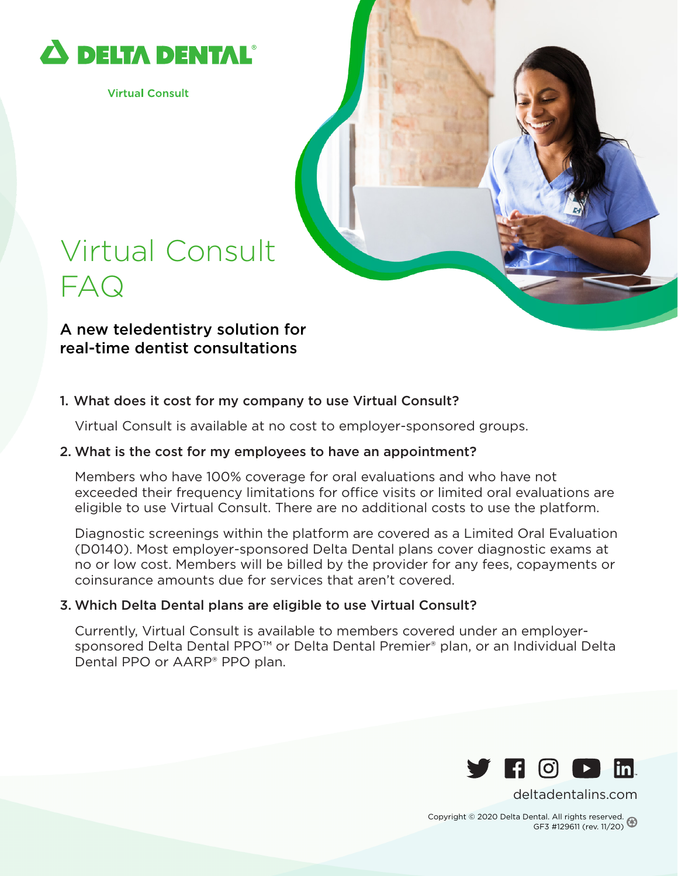

**Virtual Consult** 

## Virtual Consult FAQ

A new teledentistry solution for real-time dentist consultations

### 1. What does it cost for my company to use Virtual Consult?

Virtual Consult is available at no cost to employer-sponsored groups.

#### 2. What is the cost for my employees to have an appointment?

Members who have 100% coverage for oral evaluations and who have not exceeded their frequency limitations for office visits or limited oral evaluations are eligible to use Virtual Consult. There are no additional costs to use the platform.

Diagnostic screenings within the platform are covered as a Limited Oral Evaluation (D0140). Most employer-sponsored Delta Dental plans cover diagnostic exams at no or low cost. Members will be billed by the provider for any fees, copayments or coinsurance amounts due for services that aren't covered.

#### 3. Which Delta Dental plans are eligible to use Virtual Consult?

Currently, Virtual Consult is available to members covered under an employersponsored Delta Dental PPO™ or Delta Dental Premier® plan, or an Individual Delta Dental PPO or AARP® PPO plan.



[deltadentalins.com](https://www.deltadentalins.com)

Copyright © 2020 Delta Dental. All rights reserved. GF3 #129611 (rev. 11/20)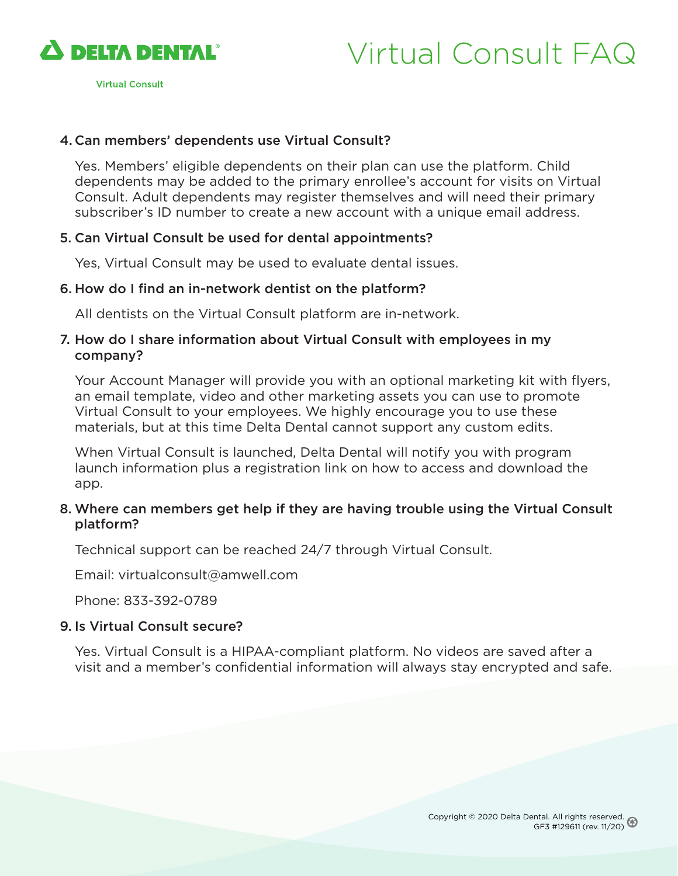

**Virtual Consult** 

# Virtual Consult FAQ

### 4. Can members' dependents use Virtual Consult?

Yes. Members' eligible dependents on their plan can use the platform. Child dependents may be added to the primary enrollee's account for visits on Virtual Consult. Adult dependents may register themselves and will need their primary subscriber's ID number to create a new account with a unique email address.

#### 5. Can Virtual Consult be used for dental appointments?

Yes, Virtual Consult may be used to evaluate dental issues.

#### 6. How do I find an in-network dentist on the platform?

All dentists on the Virtual Consult platform are in-network.

#### 7. How do I share information about Virtual Consult with employees in my company?

Your Account Manager will provide you with an optional marketing kit with flyers, an email template, video and other marketing assets you can use to promote Virtual Consult to your employees. We highly encourage you to use these materials, but at this time Delta Dental cannot support any custom edits.

When Virtual Consult is launched, Delta Dental will notify you with program launch information plus a registration link on how to access and download the app.

#### 8. Where can members get help if they are having trouble using the Virtual Consult platform?

Technical support can be reached 24/7 through Virtual Consult.

Email: virtualconsult@amwell.com

Phone: 833-392-0789

#### 9. Is Virtual Consult secure?

Yes. Virtual Consult is a HIPAA-compliant platform. No videos are saved after a visit and a member's confidential information will always stay encrypted and safe.